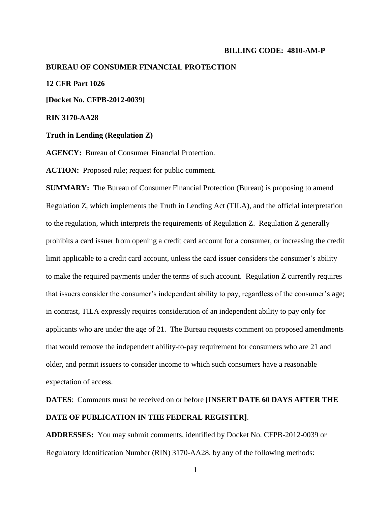#### **BILLING CODE: 4810-AM-P**

#### **BUREAU OF CONSUMER FINANCIAL PROTECTION**

#### **12 CFR Part 1026**

**[Docket No. CFPB-2012-0039]**

**RIN 3170-AA28**

#### **Truth in Lending (Regulation Z)**

**AGENCY:** Bureau of Consumer Financial Protection.

ACTION: Proposed rule; request for public comment.

**SUMMARY:** The Bureau of Consumer Financial Protection (Bureau) is proposing to amend Regulation Z, which implements the Truth in Lending Act (TILA), and the official interpretation to the regulation, which interprets the requirements of Regulation Z. Regulation Z generally prohibits a card issuer from opening a credit card account for a consumer, or increasing the credit limit applicable to a credit card account, unless the card issuer considers the consumer's ability to make the required payments under the terms of such account. Regulation Z currently requires that issuers consider the consumer's independent ability to pay, regardless of the consumer's age; in contrast, TILA expressly requires consideration of an independent ability to pay only for applicants who are under the age of 21. The Bureau requests comment on proposed amendments that would remove the independent ability-to-pay requirement for consumers who are 21 and older, and permit issuers to consider income to which such consumers have a reasonable expectation of access.

**DATES**: Comments must be received on or before **[INSERT DATE 60 DAYS AFTER THE DATE OF PUBLICATION IN THE FEDERAL REGISTER]**.

**ADDRESSES:** You may submit comments, identified by Docket No. CFPB-2012-0039 or Regulatory Identification Number (RIN) 3170-AA28, by any of the following methods: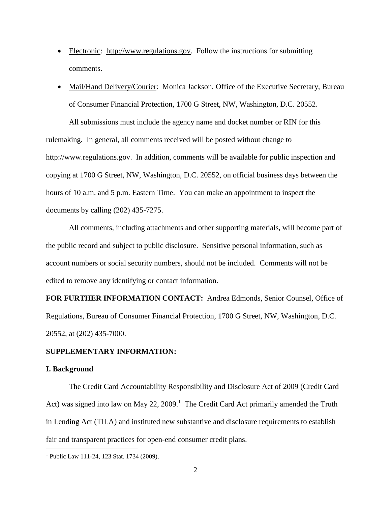- Electronic: http://www.regulations.gov. Follow the instructions for submitting comments.
- Mail/Hand Delivery/Courier: Monica Jackson, Office of the Executive Secretary, Bureau of Consumer Financial Protection, 1700 G Street, NW, Washington, D.C. 20552.

All submissions must include the agency name and docket number or RIN for this rulemaking. In general, all comments received will be posted without change to http://www.regulations.gov. In addition, comments will be available for public inspection and copying at 1700 G Street, NW, Washington, D.C. 20552, on official business days between the hours of 10 a.m. and 5 p.m. Eastern Time. You can make an appointment to inspect the documents by calling (202) 435-7275.

All comments, including attachments and other supporting materials, will become part of the public record and subject to public disclosure. Sensitive personal information, such as account numbers or social security numbers, should not be included. Comments will not be edited to remove any identifying or contact information.

**FOR FURTHER INFORMATION CONTACT:** Andrea Edmonds, Senior Counsel, Office of Regulations, Bureau of Consumer Financial Protection, 1700 G Street, NW, Washington, D.C. 20552, at (202) 435-7000.

### **SUPPLEMENTARY INFORMATION:**

#### **I. Background**

 $\overline{a}$ 

The Credit Card Accountability Responsibility and Disclosure Act of 2009 (Credit Card Act) was signed into law on May 22, 2009.<sup>1</sup> The Credit Card Act primarily amended the Truth in Lending Act (TILA) and instituted new substantive and disclosure requirements to establish fair and transparent practices for open-end consumer credit plans.

<sup>&</sup>lt;sup>1</sup> Public Law 111-24, 123 Stat. 1734 (2009).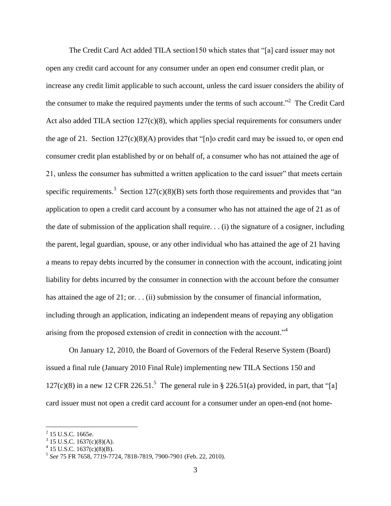The Credit Card Act added TILA section150 which states that "[a] card issuer may not open any credit card account for any consumer under an open end consumer credit plan, or increase any credit limit applicable to such account, unless the card issuer considers the ability of the consumer to make the required payments under the terms of such account.<sup> $2$ </sup> The Credit Card Act also added TILA section 127(c)(8), which applies special requirements for consumers under the age of 21. Section 127(c)(8)(A) provides that "[n]o credit card may be issued to, or open end consumer credit plan established by or on behalf of, a consumer who has not attained the age of 21, unless the consumer has submitted a written application to the card issuer" that meets certain specific requirements.<sup>3</sup> Section 127(c)(8)(B) sets forth those requirements and provides that "an application to open a credit card account by a consumer who has not attained the age of 21 as of the date of submission of the application shall require. . . (i) the signature of a cosigner, including the parent, legal guardian, spouse, or any other individual who has attained the age of 21 having a means to repay debts incurred by the consumer in connection with the account, indicating joint liability for debts incurred by the consumer in connection with the account before the consumer has attained the age of 21; or... (ii) submission by the consumer of financial information, including through an application, indicating an independent means of repaying any obligation arising from the proposed extension of credit in connection with the account."<sup>4</sup>

On January 12, 2010, the Board of Governors of the Federal Reserve System (Board) issued a final rule (January 2010 Final Rule) implementing new TILA Sections 150 and  $127(c)(8)$  in a new 12 CFR 226.51.<sup>5</sup> The general rule in § 226.51(a) provided, in part, that "[a] card issuer must not open a credit card account for a consumer under an open-end (not home-

 $2$  15 U.S.C. 1665e.

 $3$  15 U.S.C. 1637(c)(8)(A).

 $4$  15 U.S.C. 1637(c)(8)(B).

<sup>5</sup> *See* 75 FR 7658, 7719-7724, 7818-7819, 7900-7901 (Feb. 22, 2010).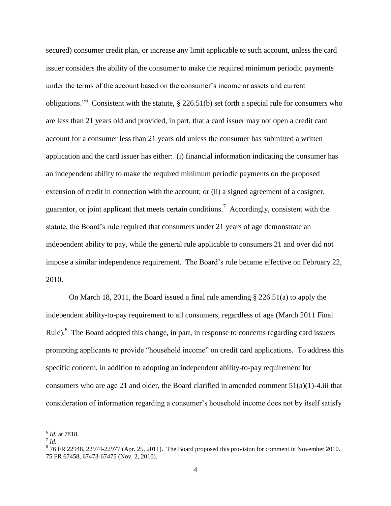secured) consumer credit plan, or increase any limit applicable to such account, unless the card issuer considers the ability of the consumer to make the required minimum periodic payments under the terms of the account based on the consumer's income or assets and current obligations."<sup>6</sup> Consistent with the statute,  $\S$  226.51(b) set forth a special rule for consumers who are less than 21 years old and provided, in part, that a card issuer may not open a credit card account for a consumer less than 21 years old unless the consumer has submitted a written application and the card issuer has either: (i) financial information indicating the consumer has an independent ability to make the required minimum periodic payments on the proposed extension of credit in connection with the account; or (ii) a signed agreement of a cosigner, guarantor, or joint applicant that meets certain conditions.<sup>7</sup> Accordingly, consistent with the statute, the Board's rule required that consumers under 21 years of age demonstrate an independent ability to pay, while the general rule applicable to consumers 21 and over did not impose a similar independence requirement. The Board's rule became effective on February 22, 2010.

On March 18, 2011, the Board issued a final rule amending § 226.51(a) to apply the independent ability-to-pay requirement to all consumers, regardless of age (March 2011 Final Rule).<sup>8</sup> The Board adopted this change, in part, in response to concerns regarding card issuers prompting applicants to provide "household income" on credit card applications. To address this specific concern, in addition to adopting an independent ability-to-pay requirement for consumers who are age 21 and older, the Board clarified in amended comment  $51(a)(1)$ -4.iii that consideration of information regarding a consumer's household income does not by itself satisfy

<sup>6</sup> *Id.* at 7818.

<sup>7</sup> *Id.*

 $876$  FR 22948, 22974-22977 (Apr. 25, 2011). The Board proposed this provision for comment in November 2010. 75 FR 67458, 67473-67475 (Nov. 2, 2010).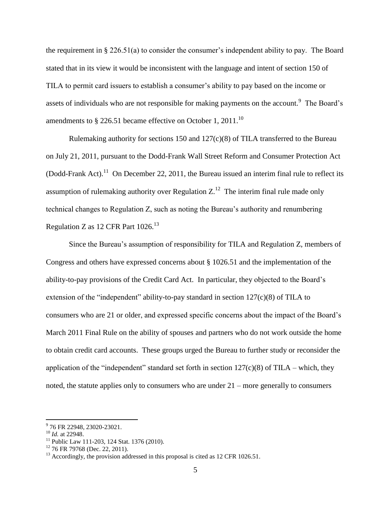the requirement in § 226.51(a) to consider the consumer's independent ability to pay. The Board stated that in its view it would be inconsistent with the language and intent of section 150 of TILA to permit card issuers to establish a consumer's ability to pay based on the income or assets of individuals who are not responsible for making payments on the account.<sup>9</sup> The Board's amendments to  $\S$  226.51 became effective on October 1, 2011.<sup>10</sup>

Rulemaking authority for sections 150 and  $127(c)(8)$  of TILA transferred to the Bureau on July 21, 2011, pursuant to the Dodd-Frank Wall Street Reform and Consumer Protection Act (Dodd-Frank Act).<sup>11</sup> On December 22, 2011, the Bureau issued an interim final rule to reflect its assumption of rulemaking authority over Regulation  $Z<sup>12</sup>$  The interim final rule made only technical changes to Regulation Z, such as noting the Bureau's authority and renumbering Regulation Z as 12 CFR Part  $1026$ .<sup>13</sup>

Since the Bureau's assumption of responsibility for TILA and Regulation Z, members of Congress and others have expressed concerns about § 1026.51 and the implementation of the ability-to-pay provisions of the Credit Card Act. In particular, they objected to the Board's extension of the "independent" ability-to-pay standard in section  $127(c)(8)$  of TILA to consumers who are 21 or older, and expressed specific concerns about the impact of the Board's March 2011 Final Rule on the ability of spouses and partners who do not work outside the home to obtain credit card accounts. These groups urged the Bureau to further study or reconsider the application of the "independent" standard set forth in section  $127(c)(8)$  of TILA – which, they noted, the statute applies only to consumers who are under 21 – more generally to consumers

 9 76 FR 22948, 23020-23021.

<sup>10</sup> *Id.* at 22948.

<sup>&</sup>lt;sup>11</sup> Public Law 111-203, 124 Stat. 1376 (2010).

 $12$  76 FR 79768 (Dec. 22, 2011).

 $13$  Accordingly, the provision addressed in this proposal is cited as 12 CFR 1026.51.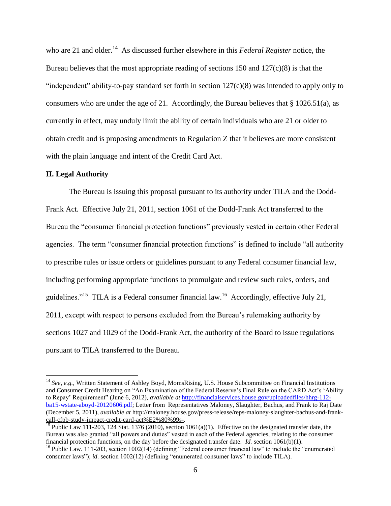who are 21 and older.<sup>14</sup> As discussed further elsewhere in this *Federal Register* notice, the Bureau believes that the most appropriate reading of sections  $150$  and  $127(c)(8)$  is that the "independent" ability-to-pay standard set forth in section  $127(c)(8)$  was intended to apply only to consumers who are under the age of 21. Accordingly, the Bureau believes that  $\S$  1026.51(a), as currently in effect, may unduly limit the ability of certain individuals who are 21 or older to obtain credit and is proposing amendments to Regulation Z that it believes are more consistent with the plain language and intent of the Credit Card Act.

#### **II. Legal Authority**

 $\overline{a}$ 

The Bureau is issuing this proposal pursuant to its authority under TILA and the Dodd-Frank Act. Effective July 21, 2011, section 1061 of the Dodd-Frank Act transferred to the Bureau the "consumer financial protection functions" previously vested in certain other Federal agencies. The term "consumer financial protection functions" is defined to include "all authority to prescribe rules or issue orders or guidelines pursuant to any Federal consumer financial law, including performing appropriate functions to promulgate and review such rules, orders, and guidelines."<sup>15</sup> TILA is a Federal consumer financial law.<sup>16</sup> Accordingly, effective July 21, 2011, except with respect to persons excluded from the Bureau's rulemaking authority by sections 1027 and 1029 of the Dodd-Frank Act, the authority of the Board to issue regulations pursuant to TILA transferred to the Bureau.

<sup>&</sup>lt;sup>14</sup> *See, e.g., Written Statement of Ashley Boyd, MomsRising, U.S. House Subcommittee on Financial Institutions* and Consumer Credit Hearing on "An Examination of the Federal Reserve's Final Rule on the CARD Act's 'Ability to Repay' Requirement" (June 6, 2012), *available at* [http://financialservices.house.gov/uploadedfiles/hhrg-112](http://financialservices.house.gov/uploadedfiles/hhrg-112-ba15-wstate-aboyd-20120606.pdf) [ba15-wstate-aboyd-20120606.pdf;](http://financialservices.house.gov/uploadedfiles/hhrg-112-ba15-wstate-aboyd-20120606.pdf) Letter from Representatives Maloney, Slaughter, Bachus, and Frank to Raj Date (December 5, 2011), *available at* http://maloney.house.gov/press-release/reps-maloney-slaughter-bachus-and-frankcall-cfpb-study-impact-credit-card-act%E2%80%99s-.

<sup>&</sup>lt;sup>15</sup> Public Law 111-203, 124 Stat. 1376 (2010), section 1061(a)(1). Effective on the designated transfer date, the Bureau was also granted "all powers and duties" vested in each of the Federal agencies, relating to the consumer financial protection functions, on the day before the designated transfer date. *Id.* section 1061(b)(1).

<sup>&</sup>lt;sup>16</sup> Public Law. 111-203, section 1002(14) (defining "Federal consumer financial law" to include the "enumerated consumer laws"); *id*. section 1002(12) (defining "enumerated consumer laws" to include TILA).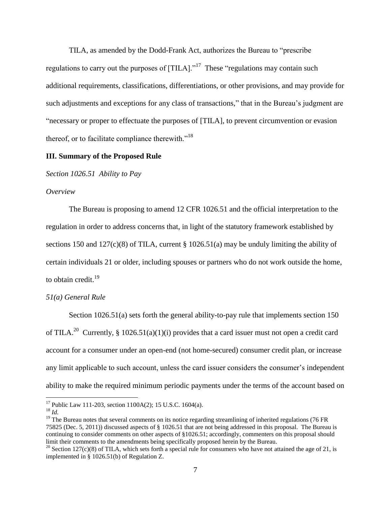TILA, as amended by the Dodd-Frank Act, authorizes the Bureau to "prescribe regulations to carry out the purposes of  $[TILA]$ ."<sup>17</sup> These "regulations may contain such additional requirements, classifications, differentiations, or other provisions, and may provide for such adjustments and exceptions for any class of transactions," that in the Bureau's judgment are "necessary or proper to effectuate the purposes of [TILA], to prevent circumvention or evasion thereof, or to facilitate compliance therewith."<sup>18</sup>

#### **III. Summary of the Proposed Rule**

*Section 1026.51 Ability to Pay*

#### *Overview*

The Bureau is proposing to amend 12 CFR 1026.51 and the official interpretation to the regulation in order to address concerns that, in light of the statutory framework established by sections 150 and 127(c)(8) of TILA, current  $\S$  1026.51(a) may be unduly limiting the ability of certain individuals 21 or older, including spouses or partners who do not work outside the home, to obtain credit.<sup>19</sup>

#### *51(a) General Rule*

Section 1026.51(a) sets forth the general ability-to-pay rule that implements section 150 of TILA.<sup>20</sup> Currently, § 1026.51(a)(1)(i) provides that a card issuer must not open a credit card account for a consumer under an open-end (not home-secured) consumer credit plan, or increase any limit applicable to such account, unless the card issuer considers the consumer's independent ability to make the required minimum periodic payments under the terms of the account based on

<sup>&</sup>lt;sup>17</sup> Public Law 111-203, section 1100A(2); 15 U.S.C. 1604(a).

<sup>18</sup> *Id.*

 $19$  The Bureau notes that several comments on its notice regarding streamlining of inherited regulations (76 FR) 75825 (Dec. 5, 2011)) discussed aspects of § 1026.51 that are not being addressed in this proposal. The Bureau is continuing to consider comments on other aspects of §1026.51; accordingly, commenters on this proposal should limit their comments to the amendments being specifically proposed herein by the Bureau.

<sup>&</sup>lt;sup>20</sup> Section 127(c)(8) of TILA, which sets forth a special rule for consumers who have not attained the age of 21, is implemented in § 1026.51(b) of Regulation Z.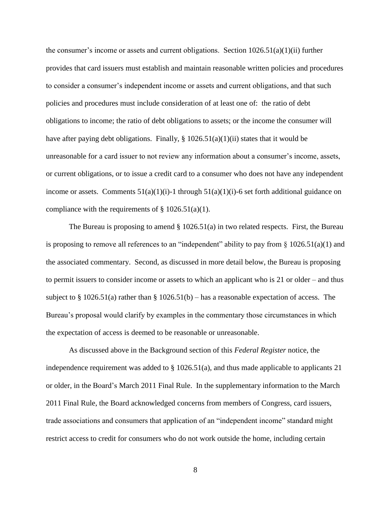the consumer's income or assets and current obligations. Section  $1026.51(a)(1)(ii)$  further provides that card issuers must establish and maintain reasonable written policies and procedures to consider a consumer's independent income or assets and current obligations, and that such policies and procedures must include consideration of at least one of: the ratio of debt obligations to income; the ratio of debt obligations to assets; or the income the consumer will have after paying debt obligations. Finally,  $\S 1026.51(a)(1)(ii)$  states that it would be unreasonable for a card issuer to not review any information about a consumer's income, assets, or current obligations, or to issue a credit card to a consumer who does not have any independent income or assets. Comments  $51(a)(1)(i)$ -1 through  $51(a)(1)(i)$ -6 set forth additional guidance on compliance with the requirements of  $\S$  1026.51(a)(1).

The Bureau is proposing to amend  $\S$  1026.51(a) in two related respects. First, the Bureau is proposing to remove all references to an "independent" ability to pay from  $\S$  1026.51(a)(1) and the associated commentary. Second, as discussed in more detail below, the Bureau is proposing to permit issuers to consider income or assets to which an applicant who is 21 or older – and thus subject to  $\S 1026.51(a)$  rather than  $\S 1026.51(b)$  – has a reasonable expectation of access. The Bureau's proposal would clarify by examples in the commentary those circumstances in which the expectation of access is deemed to be reasonable or unreasonable.

As discussed above in the Background section of this *Federal Register* notice, the independence requirement was added to  $\S 1026.51(a)$ , and thus made applicable to applicants 21 or older, in the Board's March 2011 Final Rule. In the supplementary information to the March 2011 Final Rule, the Board acknowledged concerns from members of Congress, card issuers, trade associations and consumers that application of an "independent income" standard might restrict access to credit for consumers who do not work outside the home, including certain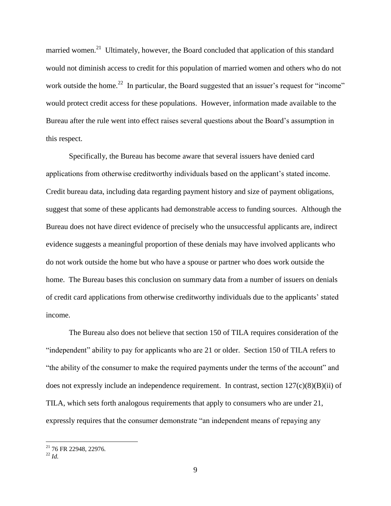married women.<sup>21</sup> Ultimately, however, the Board concluded that application of this standard would not diminish access to credit for this population of married women and others who do not work outside the home.<sup>22</sup> In particular, the Board suggested that an issuer's request for "income" would protect credit access for these populations. However, information made available to the Bureau after the rule went into effect raises several questions about the Board's assumption in this respect.

Specifically, the Bureau has become aware that several issuers have denied card applications from otherwise creditworthy individuals based on the applicant's stated income. Credit bureau data, including data regarding payment history and size of payment obligations, suggest that some of these applicants had demonstrable access to funding sources. Although the Bureau does not have direct evidence of precisely who the unsuccessful applicants are, indirect evidence suggests a meaningful proportion of these denials may have involved applicants who do not work outside the home but who have a spouse or partner who does work outside the home. The Bureau bases this conclusion on summary data from a number of issuers on denials of credit card applications from otherwise creditworthy individuals due to the applicants' stated income.

The Bureau also does not believe that section 150 of TILA requires consideration of the "independent" ability to pay for applicants who are 21 or older. Section 150 of TILA refers to "the ability of the consumer to make the required payments under the terms of the account" and does not expressly include an independence requirement. In contrast, section  $127(c)(8)(B)(ii)$  of TILA, which sets forth analogous requirements that apply to consumers who are under 21, expressly requires that the consumer demonstrate "an independent means of repaying any

<sup>21</sup> 76 FR 22948, 22976*.*

 $^{22}$  *Id.*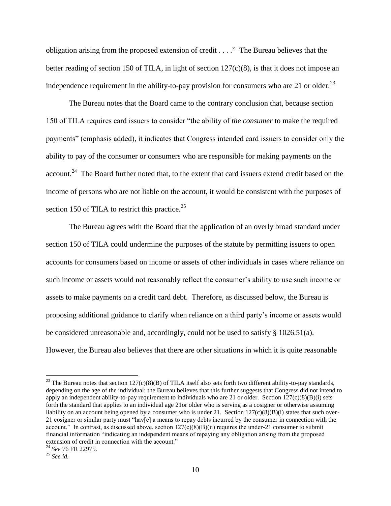obligation arising from the proposed extension of credit . . . ." The Bureau believes that the better reading of section 150 of TILA, in light of section 127(c)(8), is that it does not impose an independence requirement in the ability-to-pay provision for consumers who are 21 or older.<sup>23</sup>

The Bureau notes that the Board came to the contrary conclusion that, because section 150 of TILA requires card issuers to consider "the ability of *the consumer* to make the required payments" (emphasis added), it indicates that Congress intended card issuers to consider only the ability to pay of the consumer or consumers who are responsible for making payments on the account.<sup>24</sup> The Board further noted that, to the extent that card issuers extend credit based on the income of persons who are not liable on the account, it would be consistent with the purposes of section 150 of TILA to restrict this practice.<sup>25</sup>

The Bureau agrees with the Board that the application of an overly broad standard under section 150 of TILA could undermine the purposes of the statute by permitting issuers to open accounts for consumers based on income or assets of other individuals in cases where reliance on such income or assets would not reasonably reflect the consumer's ability to use such income or assets to make payments on a credit card debt. Therefore, as discussed below, the Bureau is proposing additional guidance to clarify when reliance on a third party's income or assets would be considered unreasonable and, accordingly, could not be used to satisfy  $\S$  1026.51(a). However, the Bureau also believes that there are other situations in which it is quite reasonable

<sup>&</sup>lt;sup>23</sup> The Bureau notes that section  $127(c)(8)(B)$  of TILA itself also sets forth two different ability-to-pay standards, depending on the age of the individual; the Bureau believes that this further suggests that Congress did not intend to apply an independent ability-to-pay requirement to individuals who are 21 or older. Section 127(c)(8)(B)(i) sets forth the standard that applies to an individual age 21or older who is serving as a cosigner or otherwise assuming liability on an account being opened by a consumer who is under 21. Section  $127(c)(8)(B)(i)$  states that such over-21 cosigner or similar party must "hav[e] a means to repay debts incurred by the consumer in connection with the account." In contrast, as discussed above, section  $127(c)(8)(B)(ii)$  requires the under-21 consumer to submit financial information "indicating an independent means of repaying any obligation arising from the proposed extension of credit in connection with the account."

<sup>24</sup> *See* 76 FR 22975.

<sup>25</sup> *See id.*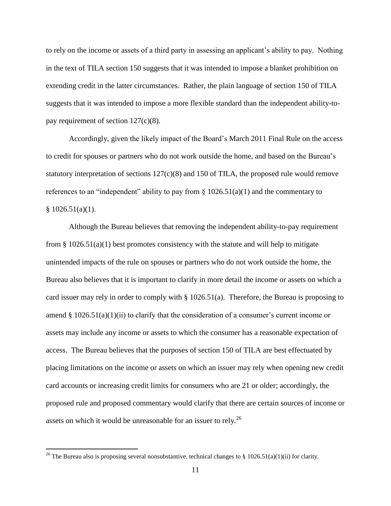to rely on the income or assets of a third party in assessing an applicant's ability to pay. Nothing in the text of TILA section 150 suggests that it was intended to impose a blanket prohibition on extending credit in the latter circumstances. Rather, the plain language of section 150 of TILA suggests that it was intended to impose a more flexible standard than the independent ability-topay requirement of section  $127(c)(8)$ .

Accordingly, given the likely impact of the Board's March 2011 Final Rule on the access to credit for spouses or partners who do not work outside the home, and based on the Bureau's statutory interpretation of sections  $127(c)(8)$  and 150 of TILA, the proposed rule would remove references to an "independent" ability to pay from  $\S$  1026.51(a)(1) and the commentary to  $§ 1026.51(a)(1).$ 

Although the Bureau believes that removing the independent ability-to-pay requirement from  $\S 1026.51(a)(1)$  best promotes consistency with the statute and will help to mitigate unintended impacts of the rule on spouses or partners who do not work outside the home, the Bureau also believes that it is important to clarify in more detail the income or assets on which a card issuer may rely in order to comply with § 1026.51(a). Therefore, the Bureau is proposing to amend § 1026.51(a)(1)(ii) to clarify that the consideration of a consumer's current income or assets may include any income or assets to which the consumer has a reasonable expectation of access. The Bureau believes that the purposes of section 150 of TILA are best effectuated by placing limitations on the income or assets on which an issuer may rely when opening new credit card accounts or increasing credit limits for consumers who are 21 or older; accordingly, the proposed rule and proposed commentary would clarify that there are certain sources of income or assets on which it would be unreasonable for an issuer to rely.<sup>26</sup>

<sup>&</sup>lt;sup>26</sup> The Bureau also is proposing several nonsubstantive, technical changes to § 1026.51(a)(1)(ii) for clarity.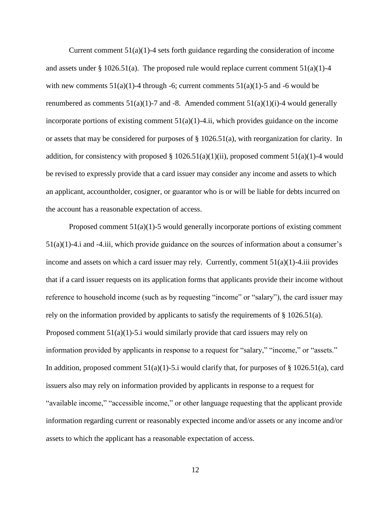Current comment  $51(a)(1)-4$  sets forth guidance regarding the consideration of income and assets under § 1026.51(a). The proposed rule would replace current comment  $51(a)(1)-4$ with new comments  $51(a)(1)-4$  through  $-6$ ; current comments  $51(a)(1)-5$  and  $-6$  would be renumbered as comments  $51(a)(1)-7$  and  $-8$ . Amended comment  $51(a)(1)(i)-4$  would generally incorporate portions of existing comment  $51(a)(1)$ -4.ii, which provides guidance on the income or assets that may be considered for purposes of § 1026.51(a), with reorganization for clarity. In addition, for consistency with proposed  $\S 1026.51(a)(1)(ii)$ , proposed comment 51(a)(1)-4 would be revised to expressly provide that a card issuer may consider any income and assets to which an applicant, accountholder, cosigner, or guarantor who is or will be liable for debts incurred on the account has a reasonable expectation of access.

Proposed comment 51(a)(1)-5 would generally incorporate portions of existing comment  $51(a)(1)$ -4.i and -4.iii, which provide guidance on the sources of information about a consumer's income and assets on which a card issuer may rely. Currently, comment  $51(a)(1)$ -4.iii provides that if a card issuer requests on its application forms that applicants provide their income without reference to household income (such as by requesting "income" or "salary"), the card issuer may rely on the information provided by applicants to satisfy the requirements of § 1026.51(a). Proposed comment  $51(a)(1)-5.i$  would similarly provide that card issuers may rely on information provided by applicants in response to a request for "salary," "income," or "assets." In addition, proposed comment  $51(a)(1)$ -5.i would clarify that, for purposes of § 1026.51(a), card issuers also may rely on information provided by applicants in response to a request for "available income," "accessible income," or other language requesting that the applicant provide information regarding current or reasonably expected income and/or assets or any income and/or assets to which the applicant has a reasonable expectation of access.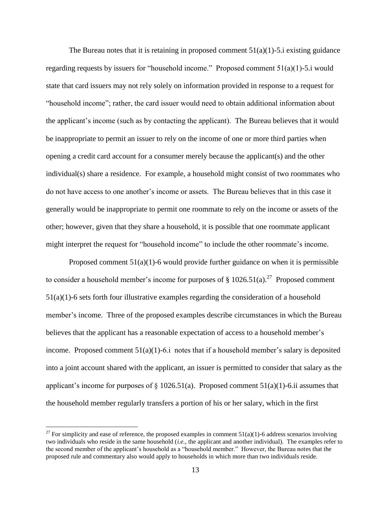The Bureau notes that it is retaining in proposed comment  $51(a)(1)$ -5.i existing guidance regarding requests by issuers for "household income." Proposed comment  $51(a)(1)$ -5.i would state that card issuers may not rely solely on information provided in response to a request for "household income"; rather, the card issuer would need to obtain additional information about the applicant's income (such as by contacting the applicant). The Bureau believes that it would be inappropriate to permit an issuer to rely on the income of one or more third parties when opening a credit card account for a consumer merely because the applicant(s) and the other individual(s) share a residence. For example, a household might consist of two roommates who do not have access to one another's income or assets. The Bureau believes that in this case it generally would be inappropriate to permit one roommate to rely on the income or assets of the other; however, given that they share a household, it is possible that one roommate applicant might interpret the request for "household income" to include the other roommate's income.

Proposed comment  $51(a)(1)$ -6 would provide further guidance on when it is permissible to consider a household member's income for purposes of  $\S 1026.51(a).^{27}$  Proposed comment 51(a)(1)-6 sets forth four illustrative examples regarding the consideration of a household member's income. Three of the proposed examples describe circumstances in which the Bureau believes that the applicant has a reasonable expectation of access to a household member's income. Proposed comment  $51(a)(1)$ -6.i notes that if a household member's salary is deposited into a joint account shared with the applicant, an issuer is permitted to consider that salary as the applicant's income for purposes of  $\S 1026.51(a)$ . Proposed comment 51(a)(1)-6.ii assumes that the household member regularly transfers a portion of his or her salary, which in the first

<sup>&</sup>lt;sup>27</sup> For simplicity and ease of reference, the proposed examples in comment  $51(a)(1)$ -6 address scenarios involving two individuals who reside in the same household (*i.e.*, the applicant and another individual). The examples refer to the second member of the applicant's household as a "household member." However, the Bureau notes that the proposed rule and commentary also would apply to households in which more than two individuals reside.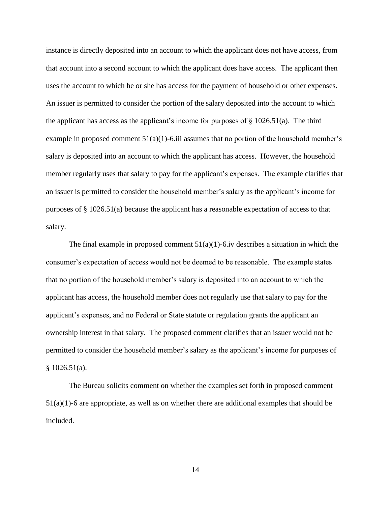instance is directly deposited into an account to which the applicant does not have access, from that account into a second account to which the applicant does have access. The applicant then uses the account to which he or she has access for the payment of household or other expenses. An issuer is permitted to consider the portion of the salary deposited into the account to which the applicant has access as the applicant's income for purposes of  $\S$  1026.51(a). The third example in proposed comment  $51(a)(1)$ -6.iii assumes that no portion of the household member's salary is deposited into an account to which the applicant has access. However, the household member regularly uses that salary to pay for the applicant's expenses. The example clarifies that an issuer is permitted to consider the household member's salary as the applicant's income for purposes of § 1026.51(a) because the applicant has a reasonable expectation of access to that salary.

The final example in proposed comment  $51(a)(1)$ -6.iv describes a situation in which the consumer's expectation of access would not be deemed to be reasonable. The example states that no portion of the household member's salary is deposited into an account to which the applicant has access, the household member does not regularly use that salary to pay for the applicant's expenses, and no Federal or State statute or regulation grants the applicant an ownership interest in that salary. The proposed comment clarifies that an issuer would not be permitted to consider the household member's salary as the applicant's income for purposes of  $$1026.51(a).$ 

The Bureau solicits comment on whether the examples set forth in proposed comment  $51(a)(1)$ -6 are appropriate, as well as on whether there are additional examples that should be included.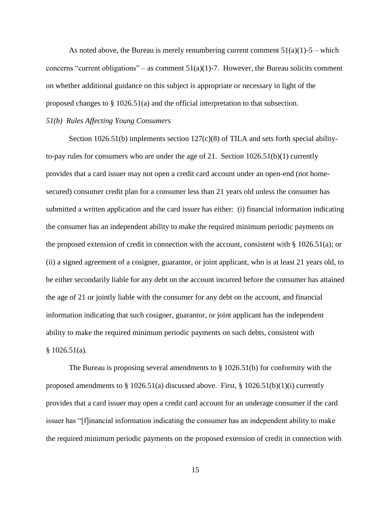As noted above, the Bureau is merely renumbering current comment  $51(a)(1)-5$  – which concerns "current obligations" – as comment  $51(a)(1)$ -7. However, the Bureau solicits comment on whether additional guidance on this subject is appropriate or necessary in light of the proposed changes to § 1026.51(a) and the official interpretation to that subsection.

#### *51(b) Rules Affecting Young Consumers*

Section 1026.51(b) implements section 127(c)(8) of TILA and sets forth special abilityto-pay rules for consumers who are under the age of 21. Section 1026.51(b)(1) currently provides that a card issuer may not open a credit card account under an open-end (not homesecured) consumer credit plan for a consumer less than 21 years old unless the consumer has submitted a written application and the card issuer has either: (i) financial information indicating the consumer has an independent ability to make the required minimum periodic payments on the proposed extension of credit in connection with the account, consistent with § 1026.51(a); or (ii) a signed agreement of a cosigner, guarantor, or joint applicant, who is at least 21 years old, to be either secondarily liable for any debt on the account incurred before the consumer has attained the age of 21 or jointly liable with the consumer for any debt on the account, and financial information indicating that such cosigner, guarantor, or joint applicant has the independent ability to make the required minimum periodic payments on such debts, consistent with  $$1026.51(a).$ 

The Bureau is proposing several amendments to § 1026.51(b) for conformity with the proposed amendments to  $\S 1026.51(a)$  discussed above. First,  $\S 1026.51(b)(1)(i)$  currently provides that a card issuer may open a credit card account for an underage consumer if the card issuer has "[f]inancial information indicating the consumer has an independent ability to make the required minimum periodic payments on the proposed extension of credit in connection with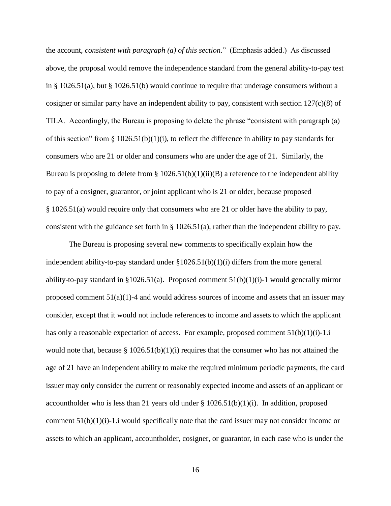the account, *consistent with paragraph (a) of this section*." (Emphasis added.) As discussed above, the proposal would remove the independence standard from the general ability-to-pay test in § 1026.51(a), but § 1026.51(b) would continue to require that underage consumers without a cosigner or similar party have an independent ability to pay, consistent with section  $127(c)(8)$  of TILA. Accordingly, the Bureau is proposing to delete the phrase "consistent with paragraph (a) of this section" from  $\S$  1026.51(b)(1)(i), to reflect the difference in ability to pay standards for consumers who are 21 or older and consumers who are under the age of 21. Similarly, the Bureau is proposing to delete from §  $1026.51(b)(1)(ii)(B)$  a reference to the independent ability to pay of a cosigner, guarantor, or joint applicant who is 21 or older, because proposed § 1026.51(a) would require only that consumers who are 21 or older have the ability to pay, consistent with the guidance set forth in § 1026.51(a), rather than the independent ability to pay.

The Bureau is proposing several new comments to specifically explain how the independent ability-to-pay standard under §1026.51(b)(1)(i) differs from the more general ability-to-pay standard in §1026.51(a). Proposed comment  $51(b)(1)(i)$ -1 would generally mirror proposed comment  $51(a)(1)-4$  and would address sources of income and assets that an issuer may consider, except that it would not include references to income and assets to which the applicant has only a reasonable expectation of access. For example, proposed comment  $51(b)(1)(i)-1.1$ would note that, because  $\S 1026.51(b)(1)(i)$  requires that the consumer who has not attained the age of 21 have an independent ability to make the required minimum periodic payments, the card issuer may only consider the current or reasonably expected income and assets of an applicant or accountholder who is less than 21 years old under  $\S 1026.51(b)(1)(i)$ . In addition, proposed comment  $51(b)(1)(i)-1$ , i would specifically note that the card issuer may not consider income or assets to which an applicant, accountholder, cosigner, or guarantor, in each case who is under the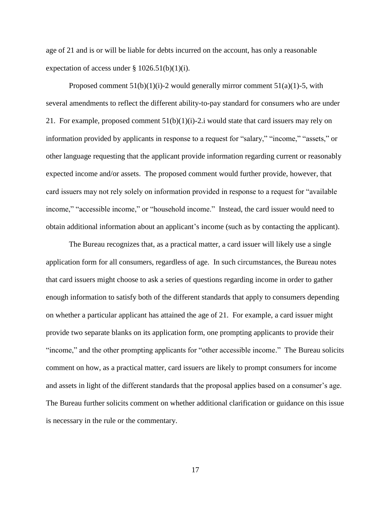age of 21 and is or will be liable for debts incurred on the account, has only a reasonable expectation of access under  $\S 1026.51(b)(1)(i)$ .

Proposed comment  $51(b)(1)(i)-2$  would generally mirror comment  $51(a)(1)-5$ , with several amendments to reflect the different ability-to-pay standard for consumers who are under 21. For example, proposed comment  $51(b)(1)(i)-2i$  would state that card issuers may rely on information provided by applicants in response to a request for "salary," "income," "assets," or other language requesting that the applicant provide information regarding current or reasonably expected income and/or assets. The proposed comment would further provide, however, that card issuers may not rely solely on information provided in response to a request for "available income," "accessible income," or "household income." Instead, the card issuer would need to obtain additional information about an applicant's income (such as by contacting the applicant).

The Bureau recognizes that, as a practical matter, a card issuer will likely use a single application form for all consumers, regardless of age. In such circumstances, the Bureau notes that card issuers might choose to ask a series of questions regarding income in order to gather enough information to satisfy both of the different standards that apply to consumers depending on whether a particular applicant has attained the age of 21. For example, a card issuer might provide two separate blanks on its application form, one prompting applicants to provide their "income," and the other prompting applicants for "other accessible income." The Bureau solicits comment on how, as a practical matter, card issuers are likely to prompt consumers for income and assets in light of the different standards that the proposal applies based on a consumer's age. The Bureau further solicits comment on whether additional clarification or guidance on this issue is necessary in the rule or the commentary.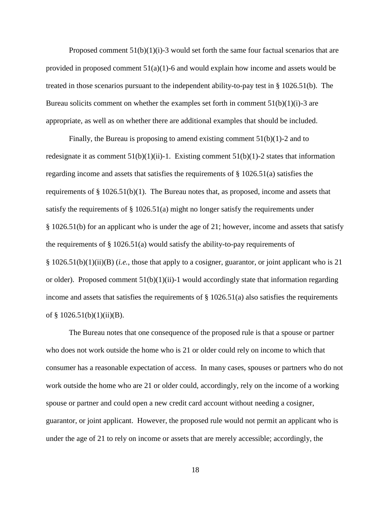Proposed comment  $51(b)(1)(i)$ -3 would set forth the same four factual scenarios that are provided in proposed comment  $51(a)(1)$ -6 and would explain how income and assets would be treated in those scenarios pursuant to the independent ability-to-pay test in § 1026.51(b). The Bureau solicits comment on whether the examples set forth in comment  $51(b)(1)(i)$ -3 are appropriate, as well as on whether there are additional examples that should be included.

Finally, the Bureau is proposing to amend existing comment  $51(b)(1)-2$  and to redesignate it as comment  $51(b)(1)(ii)$ -1. Existing comment  $51(b)(1)$ -2 states that information regarding income and assets that satisfies the requirements of § 1026.51(a) satisfies the requirements of  $\S 1026.51(b)(1)$ . The Bureau notes that, as proposed, income and assets that satisfy the requirements of  $\S$  1026.51(a) might no longer satisfy the requirements under § 1026.51(b) for an applicant who is under the age of 21; however, income and assets that satisfy the requirements of  $\S 1026.51(a)$  would satisfy the ability-to-pay requirements of § 1026.51(b)(1)(ii)(B) (*i.e.*, those that apply to a cosigner, guarantor, or joint applicant who is 21 or older). Proposed comment  $51(b)(1)(ii)$ -1 would accordingly state that information regarding income and assets that satisfies the requirements of  $\S 1026.51(a)$  also satisfies the requirements of  $§$  1026.51(b)(1)(ii)(B).

The Bureau notes that one consequence of the proposed rule is that a spouse or partner who does not work outside the home who is 21 or older could rely on income to which that consumer has a reasonable expectation of access. In many cases, spouses or partners who do not work outside the home who are 21 or older could, accordingly, rely on the income of a working spouse or partner and could open a new credit card account without needing a cosigner, guarantor, or joint applicant. However, the proposed rule would not permit an applicant who is under the age of 21 to rely on income or assets that are merely accessible; accordingly, the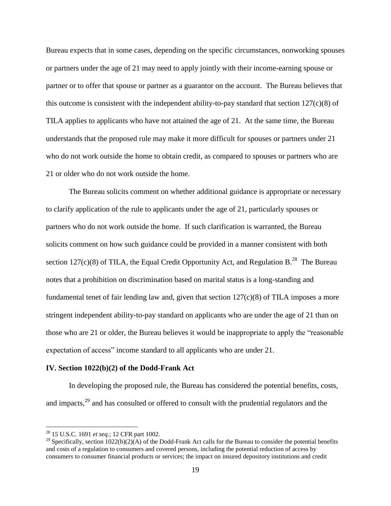Bureau expects that in some cases, depending on the specific circumstances, nonworking spouses or partners under the age of 21 may need to apply jointly with their income-earning spouse or partner or to offer that spouse or partner as a guarantor on the account. The Bureau believes that this outcome is consistent with the independent ability-to-pay standard that section  $127(c)(8)$  of TILA applies to applicants who have not attained the age of 21. At the same time, the Bureau understands that the proposed rule may make it more difficult for spouses or partners under 21 who do not work outside the home to obtain credit, as compared to spouses or partners who are 21 or older who do not work outside the home.

The Bureau solicits comment on whether additional guidance is appropriate or necessary to clarify application of the rule to applicants under the age of 21, particularly spouses or partners who do not work outside the home. If such clarification is warranted, the Bureau solicits comment on how such guidance could be provided in a manner consistent with both section 127(c)(8) of TILA, the Equal Credit Opportunity Act, and Regulation B.<sup>28</sup> The Bureau notes that a prohibition on discrimination based on marital status is a long-standing and fundamental tenet of fair lending law and, given that section  $127(c)(8)$  of TILA imposes a more stringent independent ability-to-pay standard on applicants who are under the age of 21 than on those who are 21 or older, the Bureau believes it would be inappropriate to apply the "reasonable expectation of access" income standard to all applicants who are under 21.

#### **IV. Section 1022(b)(2) of the Dodd-Frank Act**

In developing the proposed rule, the Bureau has considered the potential benefits, costs, and impacts,<sup>29</sup> and has consulted or offered to consult with the prudential regulators and the

<sup>28</sup> 15 U.S.C. 1691 *et seq.*; 12 CFR part 1002.

<sup>&</sup>lt;sup>29</sup> Specifically, section  $1022(b)(2)(A)$  of the Dodd-Frank Act calls for the Bureau to consider the potential benefits and costs of a regulation to consumers and covered persons, including the potential reduction of access by consumers to consumer financial products or services; the impact on insured depository institutions and credit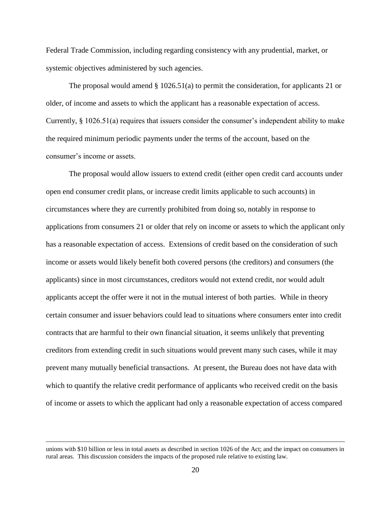Federal Trade Commission, including regarding consistency with any prudential, market, or systemic objectives administered by such agencies.

The proposal would amend § 1026.51(a) to permit the consideration, for applicants 21 or older, of income and assets to which the applicant has a reasonable expectation of access. Currently, § 1026.51(a) requires that issuers consider the consumer's independent ability to make the required minimum periodic payments under the terms of the account, based on the consumer's income or assets.

The proposal would allow issuers to extend credit (either open credit card accounts under open end consumer credit plans, or increase credit limits applicable to such accounts) in circumstances where they are currently prohibited from doing so, notably in response to applications from consumers 21 or older that rely on income or assets to which the applicant only has a reasonable expectation of access. Extensions of credit based on the consideration of such income or assets would likely benefit both covered persons (the creditors) and consumers (the applicants) since in most circumstances, creditors would not extend credit, nor would adult applicants accept the offer were it not in the mutual interest of both parties. While in theory certain consumer and issuer behaviors could lead to situations where consumers enter into credit contracts that are harmful to their own financial situation, it seems unlikely that preventing creditors from extending credit in such situations would prevent many such cases, while it may prevent many mutually beneficial transactions. At present, the Bureau does not have data with which to quantify the relative credit performance of applicants who received credit on the basis of income or assets to which the applicant had only a reasonable expectation of access compared

unions with \$10 billion or less in total assets as described in section 1026 of the Act; and the impact on consumers in rural areas. This discussion considers the impacts of the proposed rule relative to existing law.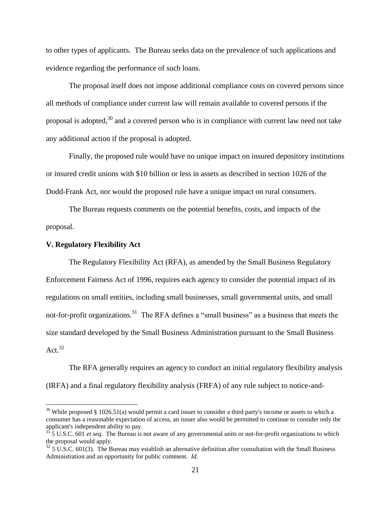to other types of applicants. The Bureau seeks data on the prevalence of such applications and evidence regarding the performance of such loans.

The proposal itself does not impose additional compliance costs on covered persons since all methods of compliance under current law will remain available to covered persons if the proposal is adopted,<sup>30</sup> and a covered person who is in compliance with current law need not take any additional action if the proposal is adopted.

Finally, the proposed rule would have no unique impact on insured depository institutions or insured credit unions with \$10 billion or less in assets as described in section 1026 of the Dodd-Frank Act, nor would the proposed rule have a unique impact on rural consumers.

The Bureau requests comments on the potential benefits, costs, and impacts of the proposal.

#### **V. Regulatory Flexibility Act**

 $\overline{a}$ 

The Regulatory Flexibility Act (RFA), as amended by the Small Business Regulatory Enforcement Fairness Act of 1996, requires each agency to consider the potential impact of its regulations on small entities, including small businesses, small governmental units, and small not-for-profit organizations.<sup>31</sup> The RFA defines a "small business" as a business that meets the size standard developed by the Small Business Administration pursuant to the Small Business Act. $32$ 

The RFA generally requires an agency to conduct an initial regulatory flexibility analysis (IRFA) and a final regulatory flexibility analysis (FRFA) of any rule subject to notice-and-

 $30$  While proposed § 1026.51(a) would permit a card issuer to consider a third party's income or assets to which a consumer has a reasonable expectation of access, an issuer also would be permitted to continue to consider only the applicant's independent ability to pay.

<sup>31</sup> 5 U.S.C. 601 *et seq*. The Bureau is not aware of any governmental units or not-for-profit organizations to which the proposal would apply.

 $325$  U.S.C. 601(3). The Bureau may establish an alternative definition after consultation with the Small Business Administration and an opportunity for public comment. *Id.*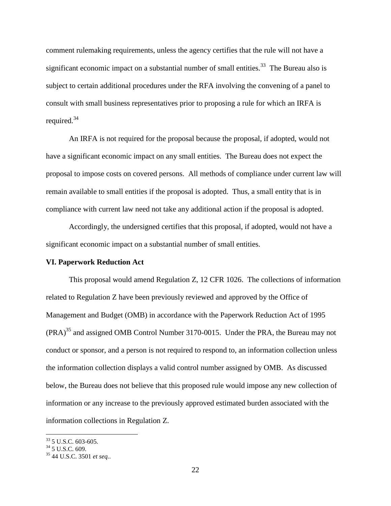comment rulemaking requirements, unless the agency certifies that the rule will not have a significant economic impact on a substantial number of small entities.<sup>33</sup> The Bureau also is subject to certain additional procedures under the RFA involving the convening of a panel to consult with small business representatives prior to proposing a rule for which an IRFA is required.<sup>34</sup>

An IRFA is not required for the proposal because the proposal, if adopted, would not have a significant economic impact on any small entities. The Bureau does not expect the proposal to impose costs on covered persons. All methods of compliance under current law will remain available to small entities if the proposal is adopted. Thus, a small entity that is in compliance with current law need not take any additional action if the proposal is adopted.

Accordingly, the undersigned certifies that this proposal, if adopted, would not have a significant economic impact on a substantial number of small entities.

#### **VI. Paperwork Reduction Act**

This proposal would amend Regulation Z, 12 CFR 1026. The collections of information related to Regulation Z have been previously reviewed and approved by the Office of Management and Budget (OMB) in accordance with the Paperwork Reduction Act of 1995 (PRA)<sup>35</sup> and assigned OMB Control Number 3170-0015. Under the PRA, the Bureau may not conduct or sponsor, and a person is not required to respond to, an information collection unless the information collection displays a valid control number assigned by OMB. As discussed below, the Bureau does not believe that this proposed rule would impose any new collection of information or any increase to the previously approved estimated burden associated with the information collections in Regulation Z.

<sup>33</sup> 5 U.S.C. 603-605.

 $34$  5 U.S.C. 609.

<sup>35</sup> 44 U.S.C. 3501 *et seq.*.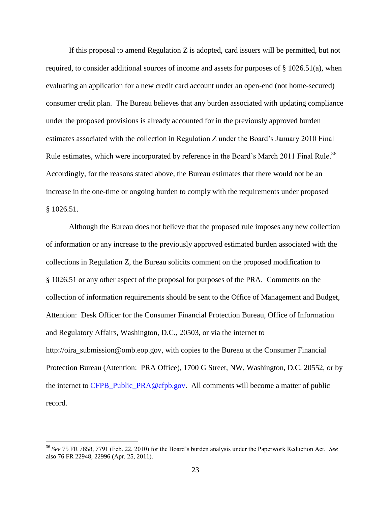If this proposal to amend Regulation Z is adopted, card issuers will be permitted, but not required, to consider additional sources of income and assets for purposes of § 1026.51(a), when evaluating an application for a new credit card account under an open-end (not home-secured) consumer credit plan. The Bureau believes that any burden associated with updating compliance under the proposed provisions is already accounted for in the previously approved burden estimates associated with the collection in Regulation Z under the Board's January 2010 Final Rule estimates, which were incorporated by reference in the Board's March 2011 Final Rule.<sup>36</sup> Accordingly, for the reasons stated above, the Bureau estimates that there would not be an increase in the one-time or ongoing burden to comply with the requirements under proposed § 1026.51.

Although the Bureau does not believe that the proposed rule imposes any new collection of information or any increase to the previously approved estimated burden associated with the collections in Regulation Z, the Bureau solicits comment on the proposed modification to § 1026.51 or any other aspect of the proposal for purposes of the PRA. Comments on the collection of information requirements should be sent to the Office of Management and Budget, Attention: Desk Officer for the Consumer Financial Protection Bureau, Office of Information and Regulatory Affairs, Washington, D.C., 20503, or via the internet to http://oira\_submission@omb.eop.gov, with copies to the Bureau at the Consumer Financial Protection Bureau (Attention: PRA Office), 1700 G Street, NW, Washington, D.C. 20552, or by the internet to [CFPB\\_Public\\_PRA@cfpb.gov.](mailto:CFPB_Public_PRA@cfpb.gov) All comments will become a matter of public record.

<sup>36</sup> *See* 75 FR 7658, 7791 (Feb. 22, 2010) for the Board's burden analysis under the Paperwork Reduction Act. *See* also 76 FR 22948, 22996 (Apr. 25, 2011).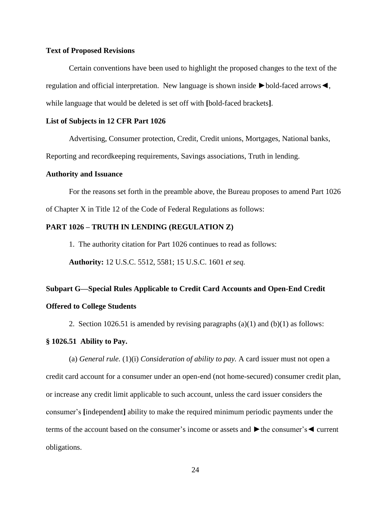#### **Text of Proposed Revisions**

Certain conventions have been used to highlight the proposed changes to the text of the regulation and official interpretation. New language is shown inside ►bold-faced arrows◄, while language that would be deleted is set off with **[**bold-faced brackets**]**.

#### **List of Subjects in 12 CFR Part 1026**

Advertising, Consumer protection, Credit, Credit unions, Mortgages, National banks,

Reporting and recordkeeping requirements, Savings associations, Truth in lending.

# **Authority and Issuance**

For the reasons set forth in the preamble above, the Bureau proposes to amend Part 1026

of Chapter X in Title 12 of the Code of Federal Regulations as follows:

## **PART 1026 – TRUTH IN LENDING (REGULATION Z)**

1. The authority citation for Part 1026 continues to read as follows:

**Authority:** 12 U.S.C. 5512, 5581; 15 U.S.C. 1601 *et seq.*

# **Subpart G—Special Rules Applicable to Credit Card Accounts and Open-End Credit Offered to College Students**

2. Section 1026.51 is amended by revising paragraphs  $(a)(1)$  and  $(b)(1)$  as follows:

# **§ 1026.51 Ability to Pay.**

(a) *General rule.* (1)(i) *Consideration of ability to pay.* A card issuer must not open a credit card account for a consumer under an open-end (not home-secured) consumer credit plan, or increase any credit limit applicable to such account, unless the card issuer considers the consumer's **[**independent**]** ability to make the required minimum periodic payments under the terms of the account based on the consumer's income or assets and ►the consumer's◄ current obligations.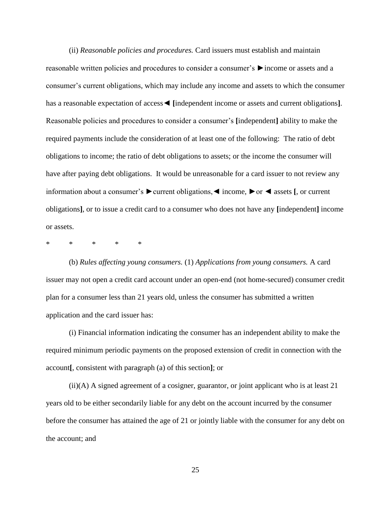(ii) *Reasonable policies and procedures.* Card issuers must establish and maintain reasonable written policies and procedures to consider a consumer's ►income or assets and a consumer's current obligations, which may include any income and assets to which the consumer has a reasonable expectation of access◄ **[**independent income or assets and current obligations**]**. Reasonable policies and procedures to consider a consumer's **[**independent**]** ability to make the required payments include the consideration of at least one of the following: The ratio of debt obligations to income; the ratio of debt obligations to assets; or the income the consumer will have after paying debt obligations. It would be unreasonable for a card issuer to not review any information about a consumer's ►current obligations,◄ income, ►or ◄ assets **[**, or current obligations**]**, or to issue a credit card to a consumer who does not have any **[**independent**]** income or assets.

\* \* \* \* \*

(b) *Rules affecting young consumers.* (1) *Applications from young consumers.* A card issuer may not open a credit card account under an open-end (not home-secured) consumer credit plan for a consumer less than 21 years old, unless the consumer has submitted a written application and the card issuer has:

(i) Financial information indicating the consumer has an independent ability to make the required minimum periodic payments on the proposed extension of credit in connection with the account**[**, consistent with paragraph (a) of this section**]**; or

(ii)(A) A signed agreement of a cosigner, guarantor, or joint applicant who is at least 21 years old to be either secondarily liable for any debt on the account incurred by the consumer before the consumer has attained the age of 21 or jointly liable with the consumer for any debt on the account; and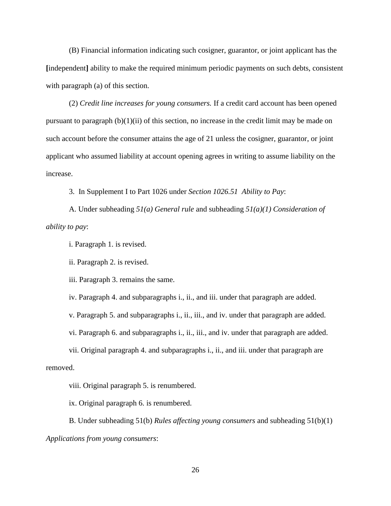(B) Financial information indicating such cosigner, guarantor, or joint applicant has the **[**independent**]** ability to make the required minimum periodic payments on such debts, consistent with paragraph (a) of this section.

(2) *Credit line increases for young consumers.* If a credit card account has been opened pursuant to paragraph  $(b)(1)(ii)$  of this section, no increase in the credit limit may be made on such account before the consumer attains the age of 21 unless the cosigner, guarantor, or joint applicant who assumed liability at account opening agrees in writing to assume liability on the increase.

3. In Supplement I to Part 1026 under *Section 1026.51 Ability to Pay*:

A. Under subheading *51(a) General rule* and subheading *51(a)(1) Consideration of ability to pay*:

i. Paragraph 1. is revised.

ii. Paragraph 2. is revised.

iii. Paragraph 3. remains the same.

iv. Paragraph 4. and subparagraphs i., ii., and iii. under that paragraph are added.

v. Paragraph 5. and subparagraphs i., ii., iii., and iv. under that paragraph are added.

vi. Paragraph 6. and subparagraphs i., ii., iii., and iv. under that paragraph are added.

vii. Original paragraph 4. and subparagraphs i., ii., and iii. under that paragraph are removed.

viii. Original paragraph 5. is renumbered.

ix. Original paragraph 6. is renumbered.

B. Under subheading 51(b) *Rules affecting young consumers* and subheading 51(b)(1) *Applications from young consumers*: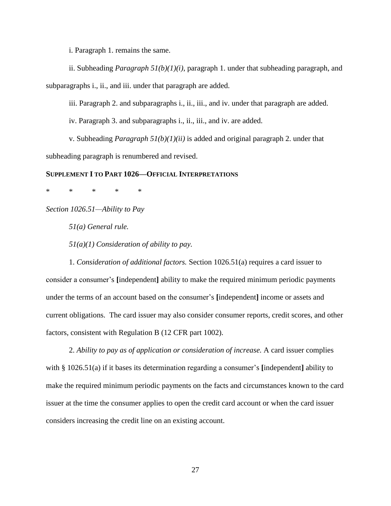i. Paragraph 1. remains the same.

ii. Subheading *Paragraph 51(b)(1)(i)*, paragraph 1. under that subheading paragraph, and subparagraphs i., ii., and iii. under that paragraph are added.

iii. Paragraph 2. and subparagraphs i., ii., iii., and iv. under that paragraph are added.

iv. Paragraph 3. and subparagraphs i., ii., iii., and iv. are added.

v. Subheading *Paragraph 51(b)(1)(ii)* is added and original paragraph 2. under that subheading paragraph is renumbered and revised.

#### **SUPPLEMENT I TO PART 1026—OFFICIAL INTERPRETATIONS**

\* \* \* \* \*

*Section 1026.51—Ability to Pay*

*51(a) General rule.*

*51(a)(1) Consideration of ability to pay.*

1. *Consideration of additional factors.* Section 1026.51(a) requires a card issuer to consider a consumer's **[**independent**]** ability to make the required minimum periodic payments under the terms of an account based on the consumer's **[**independent**]** income or assets and current obligations. The card issuer may also consider consumer reports, credit scores, and other factors, consistent with Regulation B (12 CFR part 1002).

2. *Ability to pay as of application or consideration of increase.* A card issuer complies with § 1026.51(a) if it bases its determination regarding a consumer's **[**independent**]** ability to make the required minimum periodic payments on the facts and circumstances known to the card issuer at the time the consumer applies to open the credit card account or when the card issuer considers increasing the credit line on an existing account.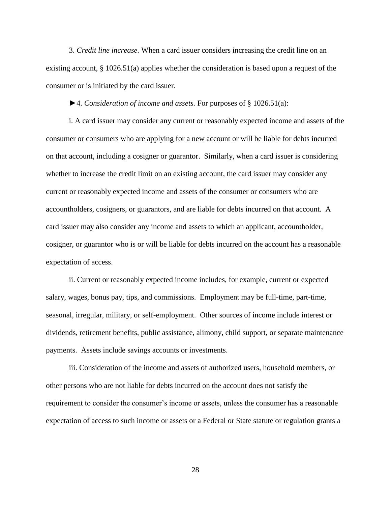3. *Credit line increase.* When a card issuer considers increasing the credit line on an existing account, § 1026.51(a) applies whether the consideration is based upon a request of the consumer or is initiated by the card issuer.

►4. *Consideration of income and assets.* For purposes of § 1026.51(a):

i. A card issuer may consider any current or reasonably expected income and assets of the consumer or consumers who are applying for a new account or will be liable for debts incurred on that account, including a cosigner or guarantor. Similarly, when a card issuer is considering whether to increase the credit limit on an existing account, the card issuer may consider any current or reasonably expected income and assets of the consumer or consumers who are accountholders, cosigners, or guarantors, and are liable for debts incurred on that account. A card issuer may also consider any income and assets to which an applicant, accountholder, cosigner, or guarantor who is or will be liable for debts incurred on the account has a reasonable expectation of access.

ii. Current or reasonably expected income includes, for example, current or expected salary, wages, bonus pay, tips, and commissions. Employment may be full-time, part-time, seasonal, irregular, military, or self-employment. Other sources of income include interest or dividends, retirement benefits, public assistance, alimony, child support, or separate maintenance payments. Assets include savings accounts or investments.

iii. Consideration of the income and assets of authorized users, household members, or other persons who are not liable for debts incurred on the account does not satisfy the requirement to consider the consumer's income or assets, unless the consumer has a reasonable expectation of access to such income or assets or a Federal or State statute or regulation grants a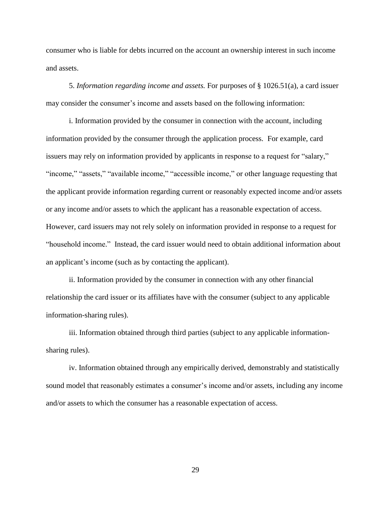consumer who is liable for debts incurred on the account an ownership interest in such income and assets.

5. *Information regarding income and assets.* For purposes of § 1026.51(a), a card issuer may consider the consumer's income and assets based on the following information:

i. Information provided by the consumer in connection with the account, including information provided by the consumer through the application process. For example, card issuers may rely on information provided by applicants in response to a request for "salary," "income," "assets," "available income," "accessible income," or other language requesting that the applicant provide information regarding current or reasonably expected income and/or assets or any income and/or assets to which the applicant has a reasonable expectation of access. However, card issuers may not rely solely on information provided in response to a request for "household income." Instead, the card issuer would need to obtain additional information about an applicant's income (such as by contacting the applicant).

ii. Information provided by the consumer in connection with any other financial relationship the card issuer or its affiliates have with the consumer (subject to any applicable information-sharing rules).

iii. Information obtained through third parties (subject to any applicable informationsharing rules).

iv. Information obtained through any empirically derived, demonstrably and statistically sound model that reasonably estimates a consumer's income and/or assets, including any income and/or assets to which the consumer has a reasonable expectation of access.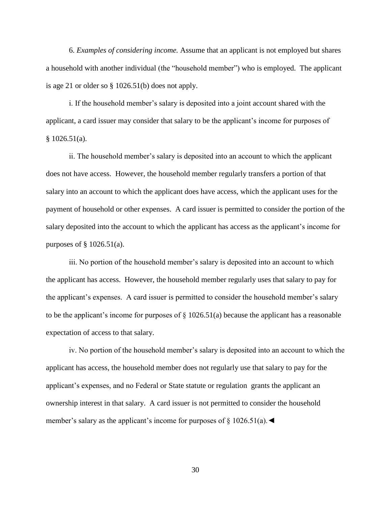6. *Examples of considering income.* Assume that an applicant is not employed but shares a household with another individual (the "household member") who is employed. The applicant is age 21 or older so § 1026.51(b) does not apply.

i. If the household member's salary is deposited into a joint account shared with the applicant, a card issuer may consider that salary to be the applicant's income for purposes of  $§ 1026.51(a).$ 

ii. The household member's salary is deposited into an account to which the applicant does not have access. However, the household member regularly transfers a portion of that salary into an account to which the applicant does have access, which the applicant uses for the payment of household or other expenses. A card issuer is permitted to consider the portion of the salary deposited into the account to which the applicant has access as the applicant's income for purposes of  $\S$  1026.51(a).

iii. No portion of the household member's salary is deposited into an account to which the applicant has access. However, the household member regularly uses that salary to pay for the applicant's expenses. A card issuer is permitted to consider the household member's salary to be the applicant's income for purposes of  $\S$  1026.51(a) because the applicant has a reasonable expectation of access to that salary.

iv. No portion of the household member's salary is deposited into an account to which the applicant has access, the household member does not regularly use that salary to pay for the applicant's expenses, and no Federal or State statute or regulation grants the applicant an ownership interest in that salary. A card issuer is not permitted to consider the household member's salary as the applicant's income for purposes of  $\S$  1026.51(a).  $\blacktriangleleft$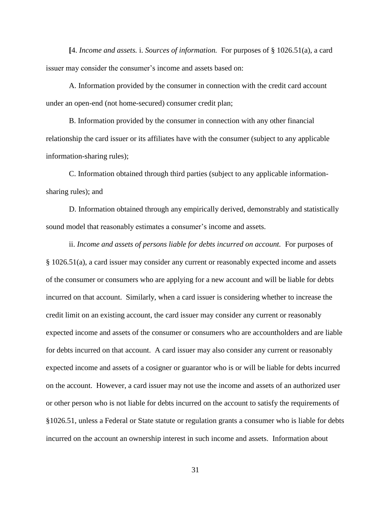**[**4. *Income and assets.* i. *Sources of information.* For purposes of § 1026.51(a), a card issuer may consider the consumer's income and assets based on:

A. Information provided by the consumer in connection with the credit card account under an open-end (not home-secured) consumer credit plan;

B. Information provided by the consumer in connection with any other financial relationship the card issuer or its affiliates have with the consumer (subject to any applicable information-sharing rules);

C. Information obtained through third parties (subject to any applicable informationsharing rules); and

D. Information obtained through any empirically derived, demonstrably and statistically sound model that reasonably estimates a consumer's income and assets.

ii. *Income and assets of persons liable for debts incurred on account.* For purposes of § 1026.51(a), a card issuer may consider any current or reasonably expected income and assets of the consumer or consumers who are applying for a new account and will be liable for debts incurred on that account. Similarly, when a card issuer is considering whether to increase the credit limit on an existing account, the card issuer may consider any current or reasonably expected income and assets of the consumer or consumers who are accountholders and are liable for debts incurred on that account. A card issuer may also consider any current or reasonably expected income and assets of a cosigner or guarantor who is or will be liable for debts incurred on the account. However, a card issuer may not use the income and assets of an authorized user or other person who is not liable for debts incurred on the account to satisfy the requirements of §1026.51, unless a Federal or State statute or regulation grants a consumer who is liable for debts incurred on the account an ownership interest in such income and assets. Information about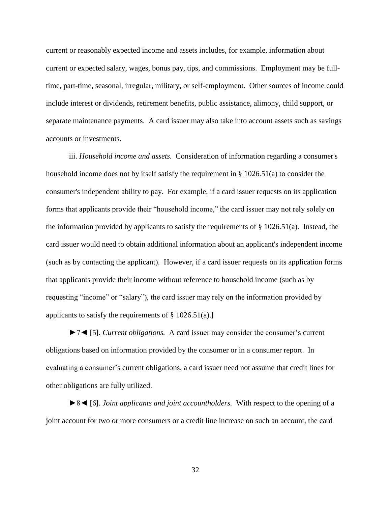current or reasonably expected income and assets includes, for example, information about current or expected salary, wages, bonus pay, tips, and commissions. Employment may be fulltime, part-time, seasonal, irregular, military, or self-employment. Other sources of income could include interest or dividends, retirement benefits, public assistance, alimony, child support, or separate maintenance payments. A card issuer may also take into account assets such as savings accounts or investments.

iii. *Household income and assets.* Consideration of information regarding a consumer's household income does not by itself satisfy the requirement in § 1026.51(a) to consider the consumer's independent ability to pay. For example, if a card issuer requests on its application forms that applicants provide their "household income," the card issuer may not rely solely on the information provided by applicants to satisfy the requirements of  $\S 1026.51(a)$ . Instead, the card issuer would need to obtain additional information about an applicant's independent income (such as by contacting the applicant). However, if a card issuer requests on its application forms that applicants provide their income without reference to household income (such as by requesting "income" or "salary"), the card issuer may rely on the information provided by applicants to satisfy the requirements of § 1026.51(a).**]**

►7◄ **[**5**]**. *Current obligations.* A card issuer may consider the consumer's current obligations based on information provided by the consumer or in a consumer report. In evaluating a consumer's current obligations, a card issuer need not assume that credit lines for other obligations are fully utilized.

►8◄ **[**6**]**. *Joint applicants and joint accountholders.* With respect to the opening of a joint account for two or more consumers or a credit line increase on such an account, the card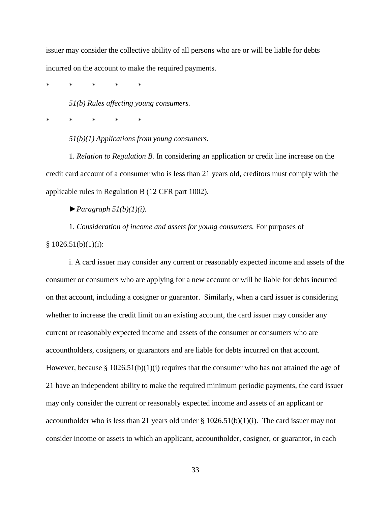issuer may consider the collective ability of all persons who are or will be liable for debts incurred on the account to make the required payments.

\* \* \* \* \*

*51(b) Rules affecting young consumers.*

\* \* \* \* \*

*51(b)(1) Applications from young consumers.*

1. *Relation to Regulation B.* In considering an application or credit line increase on the credit card account of a consumer who is less than 21 years old, creditors must comply with the applicable rules in Regulation B (12 CFR part 1002).

 $\blacktriangleright$  *Paragraph 51(b)(1)(i).* 

1. *Consideration of income and assets for young consumers.* For purposes of

 $§ 1026.51(b)(1)(i):$ 

i. A card issuer may consider any current or reasonably expected income and assets of the consumer or consumers who are applying for a new account or will be liable for debts incurred on that account, including a cosigner or guarantor. Similarly, when a card issuer is considering whether to increase the credit limit on an existing account, the card issuer may consider any current or reasonably expected income and assets of the consumer or consumers who are accountholders, cosigners, or guarantors and are liable for debts incurred on that account. However, because §  $1026.51(b)(1)(i)$  requires that the consumer who has not attained the age of 21 have an independent ability to make the required minimum periodic payments, the card issuer may only consider the current or reasonably expected income and assets of an applicant or accountholder who is less than 21 years old under  $\S 1026.51(b)(1)(i)$ . The card issuer may not consider income or assets to which an applicant, accountholder, cosigner, or guarantor, in each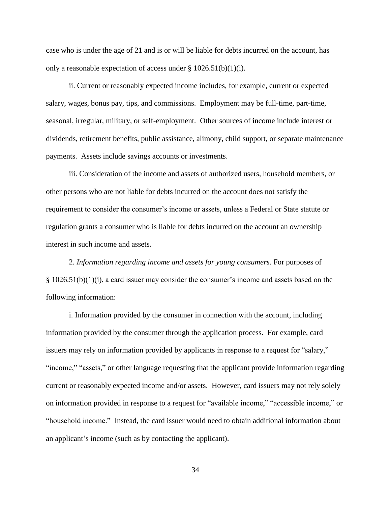case who is under the age of 21 and is or will be liable for debts incurred on the account, has only a reasonable expectation of access under  $\S 1026.51(b)(1)(i)$ .

ii. Current or reasonably expected income includes, for example, current or expected salary, wages, bonus pay, tips, and commissions. Employment may be full-time, part-time, seasonal, irregular, military, or self-employment. Other sources of income include interest or dividends, retirement benefits, public assistance, alimony, child support, or separate maintenance payments. Assets include savings accounts or investments.

iii. Consideration of the income and assets of authorized users, household members, or other persons who are not liable for debts incurred on the account does not satisfy the requirement to consider the consumer's income or assets, unless a Federal or State statute or regulation grants a consumer who is liable for debts incurred on the account an ownership interest in such income and assets.

2. *Information regarding income and assets for young consumers.* For purposes of § 1026.51(b)(1)(i), a card issuer may consider the consumer's income and assets based on the following information:

i. Information provided by the consumer in connection with the account, including information provided by the consumer through the application process. For example, card issuers may rely on information provided by applicants in response to a request for "salary," "income," "assets," or other language requesting that the applicant provide information regarding current or reasonably expected income and/or assets. However, card issuers may not rely solely on information provided in response to a request for "available income," "accessible income," or "household income." Instead, the card issuer would need to obtain additional information about an applicant's income (such as by contacting the applicant).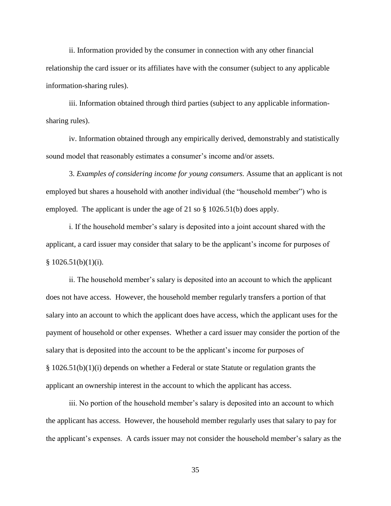ii. Information provided by the consumer in connection with any other financial relationship the card issuer or its affiliates have with the consumer (subject to any applicable information-sharing rules).

iii. Information obtained through third parties (subject to any applicable informationsharing rules).

iv. Information obtained through any empirically derived, demonstrably and statistically sound model that reasonably estimates a consumer's income and/or assets.

3. *Examples of considering income for young consumers.* Assume that an applicant is not employed but shares a household with another individual (the "household member") who is employed. The applicant is under the age of 21 so § 1026.51(b) does apply.

i. If the household member's salary is deposited into a joint account shared with the applicant, a card issuer may consider that salary to be the applicant's income for purposes of  $$1026.51(b)(1)(i).$ 

ii. The household member's salary is deposited into an account to which the applicant does not have access. However, the household member regularly transfers a portion of that salary into an account to which the applicant does have access, which the applicant uses for the payment of household or other expenses. Whether a card issuer may consider the portion of the salary that is deposited into the account to be the applicant's income for purposes of § 1026.51(b)(1)(i) depends on whether a Federal or state Statute or regulation grants the applicant an ownership interest in the account to which the applicant has access.

iii. No portion of the household member's salary is deposited into an account to which the applicant has access. However, the household member regularly uses that salary to pay for the applicant's expenses. A cards issuer may not consider the household member's salary as the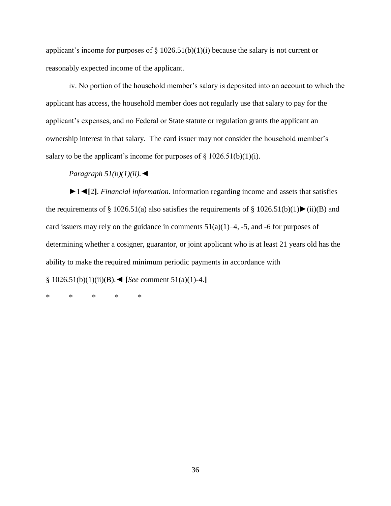applicant's income for purposes of  $\S$  1026.51(b)(1)(i) because the salary is not current or reasonably expected income of the applicant.

iv. No portion of the household member's salary is deposited into an account to which the applicant has access, the household member does not regularly use that salary to pay for the applicant's expenses, and no Federal or State statute or regulation grants the applicant an ownership interest in that salary. The card issuer may not consider the household member's salary to be the applicant's income for purposes of  $\S$  1026.51(b)(1)(i).

# *Paragraph 51(b)(1)(ii).*◄

►1◄**[**2**]**. *Financial information.* Information regarding income and assets that satisfies the requirements of § 1026.51(a) also satisfies the requirements of § 1026.51(b)(1) $\blacktriangleright$ (ii)(B) and card issuers may rely on the guidance in comments  $51(a)(1)$ –4, -5, and -6 for purposes of determining whether a cosigner, guarantor, or joint applicant who is at least 21 years old has the ability to make the required minimum periodic payments in accordance with

§ 1026.51(b)(1)(ii)(B).◄ **[***See* comment 51(a)(1)-4.**]**

\* \* \* \* \*